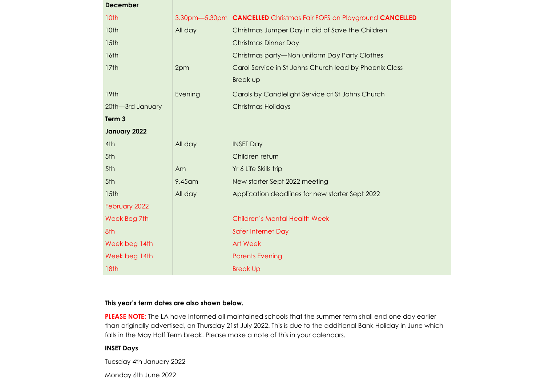| <b>December</b>  |         |                                                                                   |  |
|------------------|---------|-----------------------------------------------------------------------------------|--|
| 10th             |         | 3.30pm-5.30pm <b>CANCELLED</b> Christmas Fair FOFS on Playground <b>CANCELLED</b> |  |
| 10th             | All day | Christmas Jumper Day in aid of Save the Children                                  |  |
| 15th             |         | <b>Christmas Dinner Day</b>                                                       |  |
| 16th             |         | Christmas party-Non uniform Day Party Clothes                                     |  |
| 17th             | 2pm     | Carol Service in St Johns Church lead by Phoenix Class                            |  |
|                  |         | <b>Break up</b>                                                                   |  |
| 19th             | Evening | Carols by Candlelight Service at St Johns Church                                  |  |
| 20th-3rd January |         | Christmas Holidays                                                                |  |
| Term 3           |         |                                                                                   |  |
| January 2022     |         |                                                                                   |  |
| 4th              | All day | <b>INSET Day</b>                                                                  |  |
| 5th              |         | Children return                                                                   |  |
| 5th              | Am      | Yr 6 Life Skills trip                                                             |  |
| 5th              | 9.45 am | New starter Sept 2022 meeting                                                     |  |
| 15th             | All day | Application deadlines for new starter Sept 2022                                   |  |
| February 2022    |         |                                                                                   |  |
| Week Beg 7th     |         | <b>Children's Mental Health Week</b>                                              |  |
| 8th              |         | Safer Internet Day                                                                |  |
| Week beg 14th    |         | Art Week                                                                          |  |
| Week beg 14th    |         | <b>Parents Evening</b>                                                            |  |
| 18 <sub>th</sub> |         | <b>Break Up</b>                                                                   |  |

## **This year's term dates are also shown below.**

**PLEASE NOTE:** The LA have informed all maintained schools that the summer term shall end one day earlier than originally advertised, on Thursday 21st July 2022. This is due to the additional Bank Holiday in June which falls in the May Half Term break. Please make a note of this in your calendars.

# **INSET Days**

Tuesday 4th January 2022

Monday 6th June 2022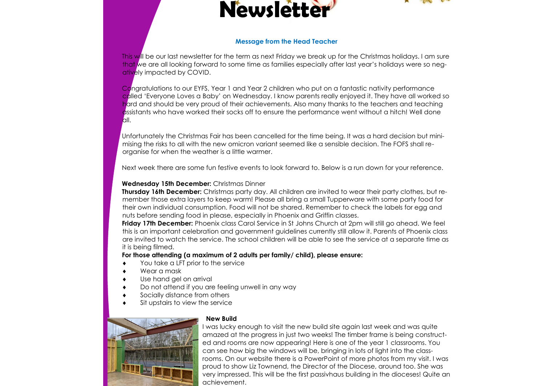



#### **Message from the Head Teacher**

This will be our last newsletter for the term as next Friday we break up for the Christmas holidays. I am sure that we are all looking forward to some time as families especially after last year's holidays were so negatively impacted by COVID.

Congratulations to our EYFS, Year 1 and Year 2 children who put on a fantastic nativity performance called 'Everyone Loves a Baby' on Wednesday. I know parents really enjoyed it. They have all worked so hard and should be very proud of their achievements. Also many thanks to the teachers and teaching assistants who have worked their socks off to ensure the performance went without a hitch! Well done all.

Unfortunately the Christmas Fair has been cancelled for the time being. It was a hard decision but minimising the risks to all with the new omicron variant seemed like a sensible decision. The FOFS shall reorganise for when the weather is a little warmer.

Next week there are some fun festive events to look forward to. Below is a run down for your reference.

### **Wednesday 15th December:** Christmas Dinner

**Thursday 16th December:** Christmas party day. All children are invited to wear their party clothes, but remember those extra layers to keep warm! Please all bring a small Tupperware with some party food for their own individual consumption. Food will not be shared. Remember to check the labels for egg and nuts before sending food in please, especially in Phoenix and Griffin classes.

**Friday 17th December:** Phoenix class Carol Service in St Johns Church at 2pm will still go ahead. We feel this is an important celebration and government guidelines currently still allow it. Parents of Phoenix class are invited to watch the service. The school children will be able to see the service at a separate time as it is being filmed.

### **For those attending (a maximum of 2 adults per family/ child), please ensure:**

- You take a LFT prior to the service
- Wear a mask
- Use hand gel on arrival
- Do not attend if you are feeling unwell in any way
- Socially distance from others
- Sit upstairs to view the service



### **New Build**

I was lucky enough to visit the new build site again last week and was quite amazed at the progress in just two weeks! The timber frame is being constructed and rooms are now appearing! Here is one of the year 1 classrooms. You can see how big the windows will be, bringing in lots of light into the classrooms. On our website there is a PowerPoint of more photos from my visit. I was proud to show Liz Townend, the Director of the Diocese, around too. She was very impressed. This will be the first passivhaus building in the dioceses! Quite an achievement.